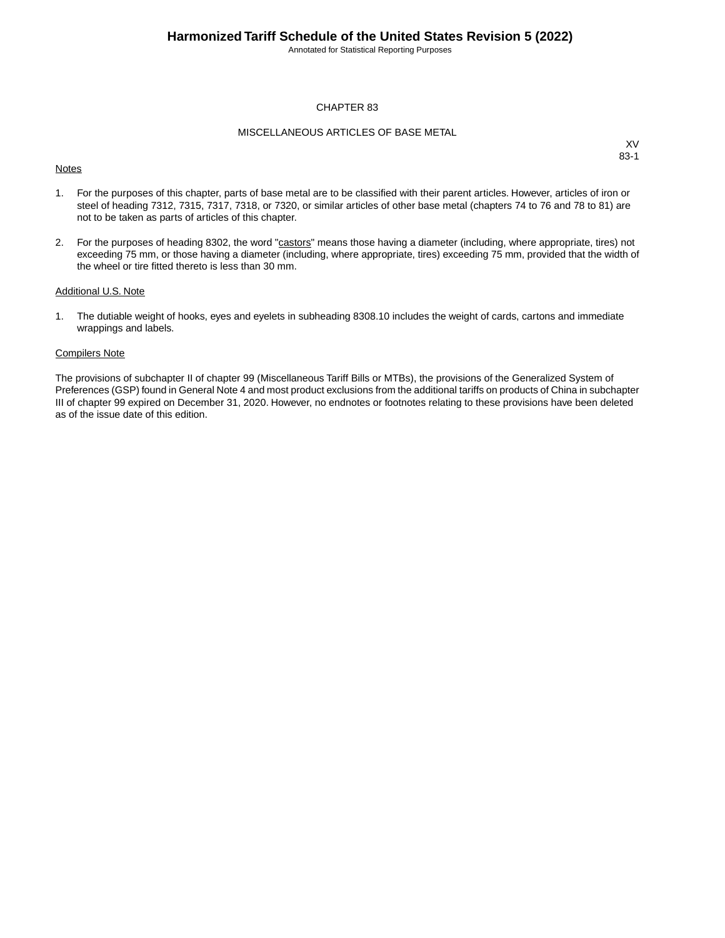Annotated for Statistical Reporting Purposes

#### CHAPTER 83

#### MISCELLANEOUS ARTICLES OF BASE METAL

#### **Notes**

XV 83-1

- 1. For the purposes of this chapter, parts of base metal are to be classified with their parent articles. However, articles of iron or steel of heading 7312, 7315, 7317, 7318, or 7320, or similar articles of other base metal (chapters 74 to 76 and 78 to 81) are not to be taken as parts of articles of this chapter.
- 2. For the purposes of heading 8302, the word "castors" means those having a diameter (including, where appropriate, tires) not exceeding 75 mm, or those having a diameter (including, where appropriate, tires) exceeding 75 mm, provided that the width of the wheel or tire fitted thereto is less than 30 mm.

#### Additional U.S. Note

1. The dutiable weight of hooks, eyes and eyelets in subheading 8308.10 includes the weight of cards, cartons and immediate wrappings and labels.

#### Compilers Note

The provisions of subchapter II of chapter 99 (Miscellaneous Tariff Bills or MTBs), the provisions of the Generalized System of Preferences (GSP) found in General Note 4 and most product exclusions from the additional tariffs on products of China in subchapter III of chapter 99 expired on December 31, 2020. However, no endnotes or footnotes relating to these provisions have been deleted as of the issue date of this edition.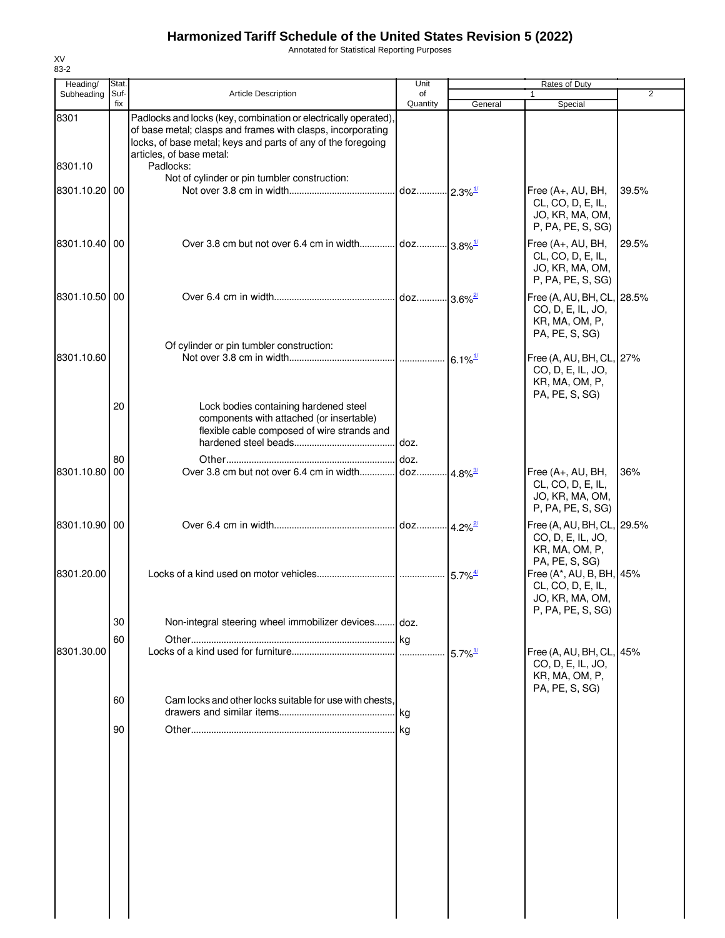Annotated for Statistical Reporting Purposes

| Heading/        | Stat.       |                                                                                                                                                                                                                                         | Unit                           |                       | Rates of Duty                                                                       |                |
|-----------------|-------------|-----------------------------------------------------------------------------------------------------------------------------------------------------------------------------------------------------------------------------------------|--------------------------------|-----------------------|-------------------------------------------------------------------------------------|----------------|
| Subheading      | Suf-<br>fix | <b>Article Description</b>                                                                                                                                                                                                              | of<br>Quantity                 | General               | $\mathbf{1}$<br>Special                                                             | $\overline{2}$ |
| 8301<br>8301.10 |             | Padlocks and locks (key, combination or electrically operated),<br>of base metal; clasps and frames with clasps, incorporating<br>locks, of base metal; keys and parts of any of the foregoing<br>articles, of base metal:<br>Padlocks: |                                |                       |                                                                                     |                |
| 8301.10.20 00   |             | Not of cylinder or pin tumbler construction:                                                                                                                                                                                            | doz 2.3% <sup>1/</sup>         |                       | Free (A+, AU, BH,<br>CL, CO, D, E, IL,<br>JO, KR, MA, OM,<br>P, PA, PE, S, SG)      | 39.5%          |
| 8301.10.40 00   |             |                                                                                                                                                                                                                                         |                                |                       | Free (A+, AU, BH,<br>CL, CO, D, E, IL,<br>JO, KR, MA, OM,<br>P, PA, PE, S, SG)      | 29.5%          |
| 8301.10.50 00   |             |                                                                                                                                                                                                                                         | doz 3.6% <sup>2/</sup>         |                       | Free (A, AU, BH, CL, 28.5%<br>CO, D, E, IL, JO,<br>KR, MA, OM, P,<br>PA, PE, S, SG) |                |
| 8301.10.60      |             | Of cylinder or pin tumbler construction:                                                                                                                                                                                                |                                | $6.1\%$ <sup>1/</sup> | Free (A, AU, BH, CL, 27%<br>CO, D, E, IL, JO,<br>KR, MA, OM, P,<br>PA, PE, S, SG)   |                |
|                 | 20          | Lock bodies containing hardened steel<br>components with attached (or insertable)<br>flexible cable composed of wire strands and                                                                                                        |                                |                       |                                                                                     |                |
| 8301.10.80      | 80<br>00    | Over 3.8 cm but not over 6.4 cm in width                                                                                                                                                                                                | doz.<br>doz 4.8% <sup>3/</sup> |                       | Free (A+, AU, BH,<br>CL, CO, D, E, IL,<br>JO, KR, MA, OM,<br>P, PA, PE, S, SG)      | 36%            |
| 8301.10.90 00   |             |                                                                                                                                                                                                                                         | doz 4.2% <sup>2/</sup>         |                       | Free (A, AU, BH, CL, 29.5%<br>CO, D, E, IL, JO,<br>KR, MA, OM, P,                   |                |
| 8301.20.00      |             |                                                                                                                                                                                                                                         |                                |                       | PA, PE, S, SG)<br>Free (A*, AU, B, BH, 45%<br>CL, CO, D, E, IL,<br>JO, KR, MA, OM,  |                |
|                 | 30          | Non-integral steering wheel immobilizer devices doz.                                                                                                                                                                                    |                                |                       | P, PA, PE, S, SG)                                                                   |                |
|                 | 60          |                                                                                                                                                                                                                                         | .lkg                           |                       |                                                                                     |                |
| 8301.30.00      |             |                                                                                                                                                                                                                                         |                                | $5.7\%$ <sup>1/</sup> | Free (A, AU, BH, CL, 45%<br>CO, D, E, IL, JO,<br>KR, MA, OM, P,<br>PA, PE, S, SG)   |                |
|                 | 60          | Cam locks and other locks suitable for use with chests,                                                                                                                                                                                 |                                |                       |                                                                                     |                |
|                 | 90          |                                                                                                                                                                                                                                         |                                |                       |                                                                                     |                |
|                 |             |                                                                                                                                                                                                                                         |                                |                       |                                                                                     |                |
|                 |             |                                                                                                                                                                                                                                         |                                |                       |                                                                                     |                |
|                 |             |                                                                                                                                                                                                                                         |                                |                       |                                                                                     |                |
|                 |             |                                                                                                                                                                                                                                         |                                |                       |                                                                                     |                |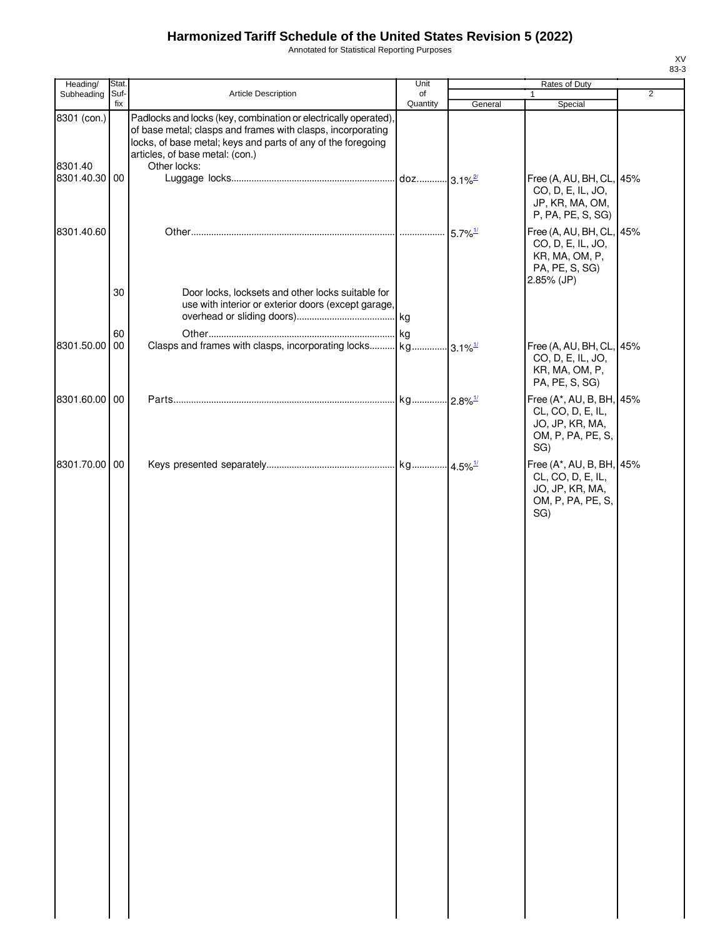Annotated for Statistical Reporting Purposes

| Heading/      | Stat. |                                                                                                                                                                                                                                  | Unit                   |                        | Rates of Duty                                                                                   |                |
|---------------|-------|----------------------------------------------------------------------------------------------------------------------------------------------------------------------------------------------------------------------------------|------------------------|------------------------|-------------------------------------------------------------------------------------------------|----------------|
| Subheading    | Suf-  | Article Description                                                                                                                                                                                                              | of                     |                        | 1                                                                                               | $\overline{2}$ |
| 8301 (con.)   | fix   | Padlocks and locks (key, combination or electrically operated)<br>of base metal; clasps and frames with clasps, incorporating<br>locks, of base metal; keys and parts of any of the foregoing<br>articles, of base metal: (con.) | Quantity               | General                | Special                                                                                         |                |
| 8301.40       |       | Other locks:                                                                                                                                                                                                                     |                        |                        |                                                                                                 |                |
| 8301.40.30 00 |       |                                                                                                                                                                                                                                  | doz 3.1% <sup>2/</sup> |                        | Free (A, AU, BH, CL, 45%<br>CO, D, E, IL, JO,<br>JP, KR, MA, OM,<br>P, PA, PE, S, SG)           |                |
| 8301.40.60    |       |                                                                                                                                                                                                                                  |                        | $5.7\%$ <sup>1/</sup>  | Free (A, AU, BH, CL, 45%<br>CO, D, E, IL, JO,<br>KR, MA, OM, P,<br>PA, PE, S, SG)<br>2.85% (JP) |                |
|               | 30    | Door locks, locksets and other locks suitable for<br>use with interior or exterior doors (except garage,                                                                                                                         |                        |                        |                                                                                                 |                |
|               | 60    |                                                                                                                                                                                                                                  |                        |                        |                                                                                                 |                |
| 8301.50.00 00 |       |                                                                                                                                                                                                                                  |                        |                        | Free (A, AU, BH, CL, 45%<br>CO, D, E, IL, JO,<br>KR, MA, OM, P,<br>PA, PE, S, SG)               |                |
| 8301.60.00 00 |       |                                                                                                                                                                                                                                  | kg                     | $-2.8\%$ <sup>1/</sup> | Free (A*, AU, B, BH, 45%<br>CL, CO, D, E, IL,<br>JO, JP, KR, MA,<br>OM, P, PA, PE, S,<br>SG)    |                |
| 8301.70.00 00 |       |                                                                                                                                                                                                                                  |                        |                        | Free (A*, AU, B, BH, 45%<br>CL, CO, D, E, IL,<br>JO, JP, KR, MA,<br>OM, P, PA, PE, S,<br>SG)    |                |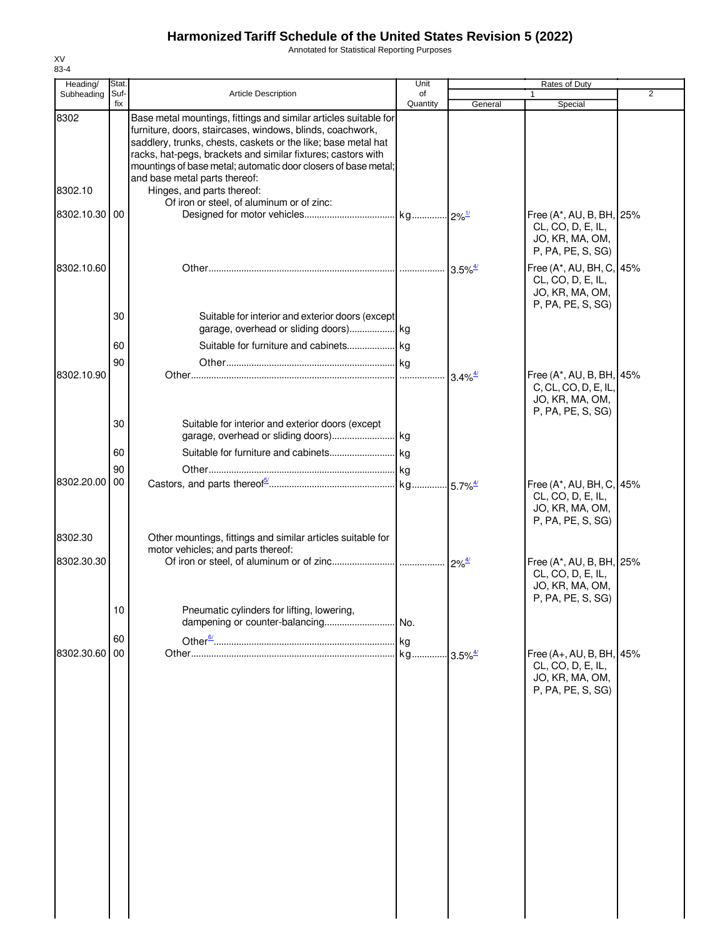Annotated for Statistical Reporting Purposes

| Heading/      | Stat.       |                                                                                                                            | Unit           |                                             | Rates of Duty                        |                |
|---------------|-------------|----------------------------------------------------------------------------------------------------------------------------|----------------|---------------------------------------------|--------------------------------------|----------------|
| Subheading    | Suf-<br>fix | <b>Article Description</b>                                                                                                 | of<br>Quantity |                                             |                                      | $\overline{2}$ |
| 8302          |             | Base metal mountings, fittings and similar articles suitable for                                                           |                | General                                     | Special                              |                |
|               |             | furniture, doors, staircases, windows, blinds, coachwork,<br>saddlery, trunks, chests, caskets or the like; base metal hat |                |                                             |                                      |                |
|               |             | racks, hat-pegs, brackets and similar fixtures; castors with                                                               |                |                                             |                                      |                |
|               |             | mountings of base metal; automatic door closers of base metal;                                                             |                |                                             |                                      |                |
|               |             | and base metal parts thereof:                                                                                              |                |                                             |                                      |                |
| 8302.10       |             | Hinges, and parts thereof:<br>Of iron or steel, of aluminum or of zinc:                                                    |                |                                             |                                      |                |
| 8302.10.30 00 |             |                                                                                                                            |                |                                             | Free (A*, AU, B, BH, 25%             |                |
|               |             |                                                                                                                            |                |                                             | CL, CO, D, E, IL,                    |                |
|               |             |                                                                                                                            |                |                                             | JO, KR, MA, OM,                      |                |
|               |             |                                                                                                                            |                |                                             | P, PA, PE, S, SG)                    |                |
| 8302.10.60    |             |                                                                                                                            |                | $3.5\%$ <sup><math>\frac{4}{3}</math></sup> | Free (A*, AU, BH, C, 45%             |                |
|               |             |                                                                                                                            |                |                                             | CL, CO, D, E, IL,<br>JO, KR, MA, OM, |                |
|               |             |                                                                                                                            |                |                                             | P, PA, PE, S, SG)                    |                |
|               | 30          | Suitable for interior and exterior doors (except                                                                           |                |                                             |                                      |                |
|               |             | garage, overhead or sliding doors) kg                                                                                      |                |                                             |                                      |                |
|               | 60          |                                                                                                                            |                |                                             |                                      |                |
|               | 90          |                                                                                                                            |                |                                             |                                      |                |
| 8302.10.90    |             |                                                                                                                            |                | $-3.4\%$ <sup>4/</sup>                      | Free (A*, AU, B, BH, 45%             |                |
|               |             |                                                                                                                            |                |                                             | C, CL, CO, D, E, IL,                 |                |
|               |             |                                                                                                                            |                |                                             | JO, KR, MA, OM,<br>P, PA, PE, S, SG) |                |
|               | 30          | Suitable for interior and exterior doors (except                                                                           |                |                                             |                                      |                |
|               |             |                                                                                                                            |                |                                             |                                      |                |
|               | 60          |                                                                                                                            |                |                                             |                                      |                |
|               | 90          |                                                                                                                            |                |                                             |                                      |                |
| 8302.20.00    | 00          |                                                                                                                            |                |                                             | Free (A*, AU, BH, C, 45%             |                |
|               |             |                                                                                                                            |                |                                             | CL, CO, D, E, IL,                    |                |
|               |             |                                                                                                                            |                |                                             | JO, KR, MA, OM,                      |                |
|               |             |                                                                                                                            |                |                                             | P, PA, PE, S, SG)                    |                |
| 8302.30       |             | Other mountings, fittings and similar articles suitable for<br>motor vehicles; and parts thereof:                          |                |                                             |                                      |                |
| 8302.30.30    |             |                                                                                                                            |                |                                             | Free (A*, AU, B, BH, 25%             |                |
|               |             |                                                                                                                            |                |                                             | CL, CO, D, E, IL,                    |                |
|               |             |                                                                                                                            |                |                                             | JO, KR, MA, OM,                      |                |
|               |             |                                                                                                                            |                |                                             | P, PA, PE, S, SG)                    |                |
|               | 10          | Pneumatic cylinders for lifting, lowering,<br>dampening or counter-balancing                                               | No.            |                                             |                                      |                |
|               | 60          |                                                                                                                            |                |                                             |                                      |                |
| 8302.30.60    | 00          |                                                                                                                            |                |                                             | Free (A+, AU, B, BH, 45%             |                |
|               |             |                                                                                                                            |                |                                             | CL, CO, D, E, IL,                    |                |
|               |             |                                                                                                                            |                |                                             | JO, KR, MA, OM,                      |                |
|               |             |                                                                                                                            |                |                                             | P, PA, PE, S, SG)                    |                |
|               |             |                                                                                                                            |                |                                             |                                      |                |
|               |             |                                                                                                                            |                |                                             |                                      |                |
|               |             |                                                                                                                            |                |                                             |                                      |                |
|               |             |                                                                                                                            |                |                                             |                                      |                |
|               |             |                                                                                                                            |                |                                             |                                      |                |
|               |             |                                                                                                                            |                |                                             |                                      |                |
|               |             |                                                                                                                            |                |                                             |                                      |                |
|               |             |                                                                                                                            |                |                                             |                                      |                |
|               |             |                                                                                                                            |                |                                             |                                      |                |
|               |             |                                                                                                                            |                |                                             |                                      |                |
|               |             |                                                                                                                            |                |                                             |                                      |                |
|               |             |                                                                                                                            |                |                                             |                                      |                |
|               |             |                                                                                                                            |                |                                             |                                      |                |
|               |             |                                                                                                                            |                |                                             |                                      |                |
|               |             |                                                                                                                            |                |                                             |                                      |                |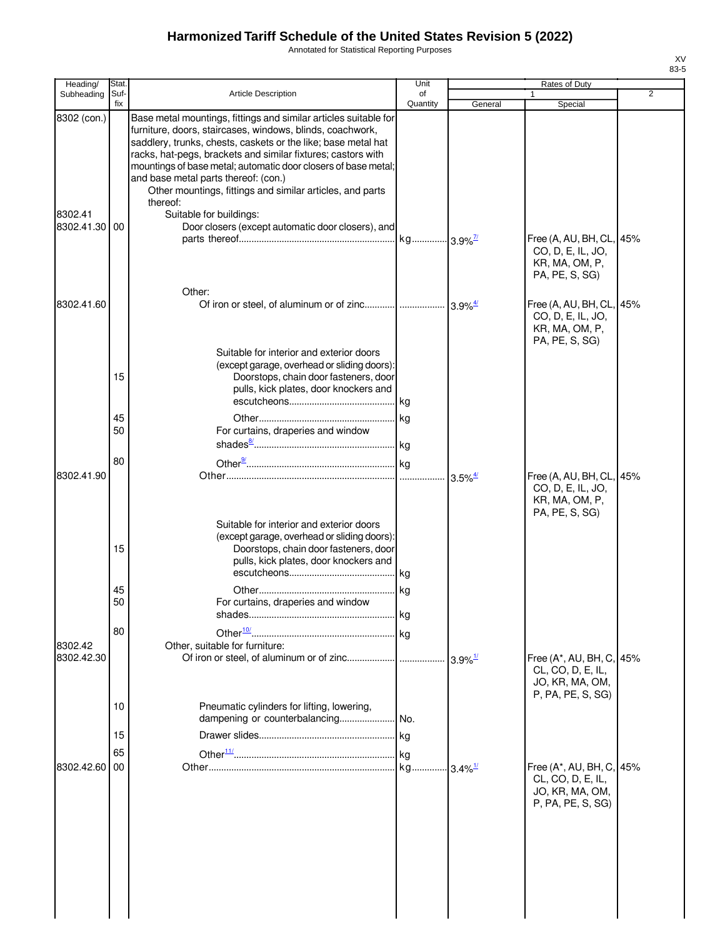Annotated for Statistical Reporting Purposes

| Heading/                                | Stat.       |                                                                                                                                                                                                                                                                                                                                                                                                                                                                                                                                   | Unit           |         | Rates of Duty                                                                     |                |
|-----------------------------------------|-------------|-----------------------------------------------------------------------------------------------------------------------------------------------------------------------------------------------------------------------------------------------------------------------------------------------------------------------------------------------------------------------------------------------------------------------------------------------------------------------------------------------------------------------------------|----------------|---------|-----------------------------------------------------------------------------------|----------------|
| Subheading                              | Suf-<br>fix | <b>Article Description</b>                                                                                                                                                                                                                                                                                                                                                                                                                                                                                                        | of<br>Quantity | General | Special                                                                           | $\overline{2}$ |
| 8302 (con.)<br>8302.41<br>8302.41.30 00 |             | Base metal mountings, fittings and similar articles suitable for<br>furniture, doors, staircases, windows, blinds, coachwork,<br>saddlery, trunks, chests, caskets or the like; base metal hat<br>racks, hat-pegs, brackets and similar fixtures; castors with<br>mountings of base metal; automatic door closers of base metal;<br>and base metal parts thereof: (con.)<br>Other mountings, fittings and similar articles, and parts<br>thereof:<br>Suitable for buildings:<br>Door closers (except automatic door closers), and |                |         |                                                                                   |                |
|                                         |             | Other:                                                                                                                                                                                                                                                                                                                                                                                                                                                                                                                            |                |         | Free (A, AU, BH, CL,<br>CO, D, E, IL, JO,<br>KR, MA, OM, P,<br>PA, PE, S, SG)     | 45%            |
| 8302.41.60                              |             |                                                                                                                                                                                                                                                                                                                                                                                                                                                                                                                                   |                |         | Free (A, AU, BH, CL,<br>CO, D, E, IL, JO,<br>KR, MA, OM, P,<br>PA, PE, S, SG)     | 45%            |
|                                         | 15          | Suitable for interior and exterior doors<br>(except garage, overhead or sliding doors):<br>Doorstops, chain door fasteners, door<br>pulls, kick plates, door knockers and                                                                                                                                                                                                                                                                                                                                                         |                |         |                                                                                   |                |
|                                         | 45<br>50    | For curtains, draperies and window                                                                                                                                                                                                                                                                                                                                                                                                                                                                                                |                |         |                                                                                   |                |
| 8302.41.90                              | 80          | Suitable for interior and exterior doors                                                                                                                                                                                                                                                                                                                                                                                                                                                                                          |                |         | Free (A, AU, BH, CL,<br>CO, D, E, IL, JO,<br>KR, MA, OM, P,<br>PA, PE, S, SG)     | 45%            |
|                                         | 15          | (except garage, overhead or sliding doors):<br>Doorstops, chain door fasteners, door<br>pulls, kick plates, door knockers and                                                                                                                                                                                                                                                                                                                                                                                                     |                |         |                                                                                   |                |
|                                         | 45<br>50    | For curtains, draperies and window                                                                                                                                                                                                                                                                                                                                                                                                                                                                                                |                |         |                                                                                   |                |
| 8302.42<br>8302.42.30                   | 80          | Other, suitable for furniture:                                                                                                                                                                                                                                                                                                                                                                                                                                                                                                    |                |         | Free (A*, AU, BH, C,<br>CL, CO, D, E, IL,<br>JO, KR, MA, OM,                      | 45%            |
|                                         | 10<br>15    | Pneumatic cylinders for lifting, lowering,                                                                                                                                                                                                                                                                                                                                                                                                                                                                                        |                |         | P, PA, PE, S, SG)                                                                 |                |
| 8302.42.60                              | 65<br>00    |                                                                                                                                                                                                                                                                                                                                                                                                                                                                                                                                   |                |         | Free (A*, AU, BH, C,<br>CL, CO, D, E, IL,<br>JO, KR, MA, OM,<br>P, PA, PE, S, SG) | 45%            |
|                                         |             |                                                                                                                                                                                                                                                                                                                                                                                                                                                                                                                                   |                |         |                                                                                   |                |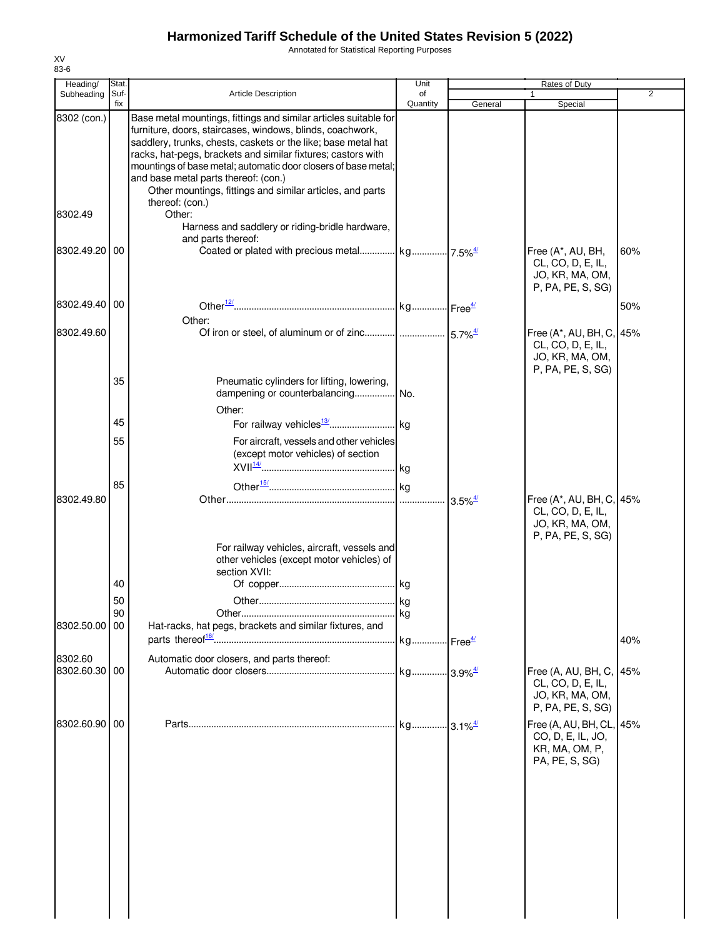Annotated for Statistical Reporting Purposes

| Heading/    | Stat. |                                                                                                                                                                                                                                                                                                                                                                                                                                       | Unit                  |                                             | Rates of Duty                                                                         |                |
|-------------|-------|---------------------------------------------------------------------------------------------------------------------------------------------------------------------------------------------------------------------------------------------------------------------------------------------------------------------------------------------------------------------------------------------------------------------------------------|-----------------------|---------------------------------------------|---------------------------------------------------------------------------------------|----------------|
| Subheading  | Suf-  | <b>Article Description</b>                                                                                                                                                                                                                                                                                                                                                                                                            | of                    |                                             |                                                                                       | $\overline{2}$ |
|             | fix   |                                                                                                                                                                                                                                                                                                                                                                                                                                       | Quantity              | General                                     | Special                                                                               |                |
| 8302 (con.) |       | Base metal mountings, fittings and similar articles suitable for<br>furniture, doors, staircases, windows, blinds, coachwork,<br>saddlery, trunks, chests, caskets or the like; base metal hat<br>racks, hat-pegs, brackets and similar fixtures; castors with<br>mountings of base metal; automatic door closers of base metal;<br>and base metal parts thereof: (con.)<br>Other mountings, fittings and similar articles, and parts |                       |                                             |                                                                                       |                |
|             |       | thereof: (con.)                                                                                                                                                                                                                                                                                                                                                                                                                       |                       |                                             |                                                                                       |                |
| 8302.49     |       | Other:                                                                                                                                                                                                                                                                                                                                                                                                                                |                       |                                             |                                                                                       |                |
|             |       | Harness and saddlery or riding-bridle hardware,<br>and parts thereof:                                                                                                                                                                                                                                                                                                                                                                 |                       |                                             |                                                                                       |                |
| 8302.49.20  | 00    |                                                                                                                                                                                                                                                                                                                                                                                                                                       |                       |                                             | Free (A*, AU, BH,<br>CL, CO, D, E, IL,<br>JO, KR, MA, OM,<br>P, PA, PE, S, SG)        | 60%            |
| 8302.49.40  | 00    |                                                                                                                                                                                                                                                                                                                                                                                                                                       |                       |                                             |                                                                                       | 50%            |
|             |       |                                                                                                                                                                                                                                                                                                                                                                                                                                       |                       |                                             |                                                                                       |                |
|             |       | Other:                                                                                                                                                                                                                                                                                                                                                                                                                                |                       |                                             |                                                                                       |                |
| 8302.49.60  |       |                                                                                                                                                                                                                                                                                                                                                                                                                                       |                       |                                             | Free (A*, AU, BH, C,<br>CL, CO, D, E, IL,<br>JO, KR, MA, OM,<br>P, PA, PE, S, SG)     | 45%            |
|             | 35    | Pneumatic cylinders for lifting, lowering,<br>dampening or counterbalancing                                                                                                                                                                                                                                                                                                                                                           | No.                   |                                             |                                                                                       |                |
|             |       | Other:                                                                                                                                                                                                                                                                                                                                                                                                                                |                       |                                             |                                                                                       |                |
|             | 45    |                                                                                                                                                                                                                                                                                                                                                                                                                                       |                       |                                             |                                                                                       |                |
|             | 55    | For aircraft, vessels and other vehicles<br>(except motor vehicles) of section                                                                                                                                                                                                                                                                                                                                                        |                       |                                             |                                                                                       |                |
|             |       |                                                                                                                                                                                                                                                                                                                                                                                                                                       |                       |                                             |                                                                                       |                |
|             | 85    |                                                                                                                                                                                                                                                                                                                                                                                                                                       |                       |                                             |                                                                                       |                |
| 8302.49.80  |       |                                                                                                                                                                                                                                                                                                                                                                                                                                       | .                     | $3.5\%$ <sup><math>\frac{4}{3}</math></sup> | Free (A*, AU, BH, C, 45%<br>CL, CO, D, E, IL,<br>JO, KR, MA, OM,<br>P, PA, PE, S, SG) |                |
|             |       | For railway vehicles, aircraft, vessels and<br>other vehicles (except motor vehicles) of<br>section XVII:                                                                                                                                                                                                                                                                                                                             |                       |                                             |                                                                                       |                |
|             | 40    |                                                                                                                                                                                                                                                                                                                                                                                                                                       |                       |                                             |                                                                                       |                |
|             | 50    |                                                                                                                                                                                                                                                                                                                                                                                                                                       |                       |                                             |                                                                                       |                |
|             | 90    |                                                                                                                                                                                                                                                                                                                                                                                                                                       | kq                    |                                             |                                                                                       |                |
| 8302.50.00  | 00    | Hat-racks, hat pegs, brackets and similar fixtures, and                                                                                                                                                                                                                                                                                                                                                                               |                       |                                             |                                                                                       |                |
|             |       |                                                                                                                                                                                                                                                                                                                                                                                                                                       | kg Free <sup>4/</sup> |                                             |                                                                                       | 40%            |
| 8302.60     |       | Automatic door closers, and parts thereof:                                                                                                                                                                                                                                                                                                                                                                                            |                       |                                             |                                                                                       |                |
| 8302.60.30  | 00    |                                                                                                                                                                                                                                                                                                                                                                                                                                       | kg 3.9% <sup>4/</sup> |                                             | Free (A, AU, BH, C,                                                                   | 45%            |
|             |       |                                                                                                                                                                                                                                                                                                                                                                                                                                       |                       |                                             | CL, CO, D, E, IL,<br>JO, KR, MA, OM,<br>P, PA, PE, S, SG)                             |                |
| 8302.60.90  | 00    |                                                                                                                                                                                                                                                                                                                                                                                                                                       | kg 3.1% <sup>4/</sup> |                                             | Free (A, AU, BH, CL,                                                                  | 45%            |
|             |       |                                                                                                                                                                                                                                                                                                                                                                                                                                       |                       |                                             | CO, D, E, IL, JO,<br>KR, MA, OM, P,<br>PA, PE, S, SG)                                 |                |
|             |       |                                                                                                                                                                                                                                                                                                                                                                                                                                       |                       |                                             |                                                                                       |                |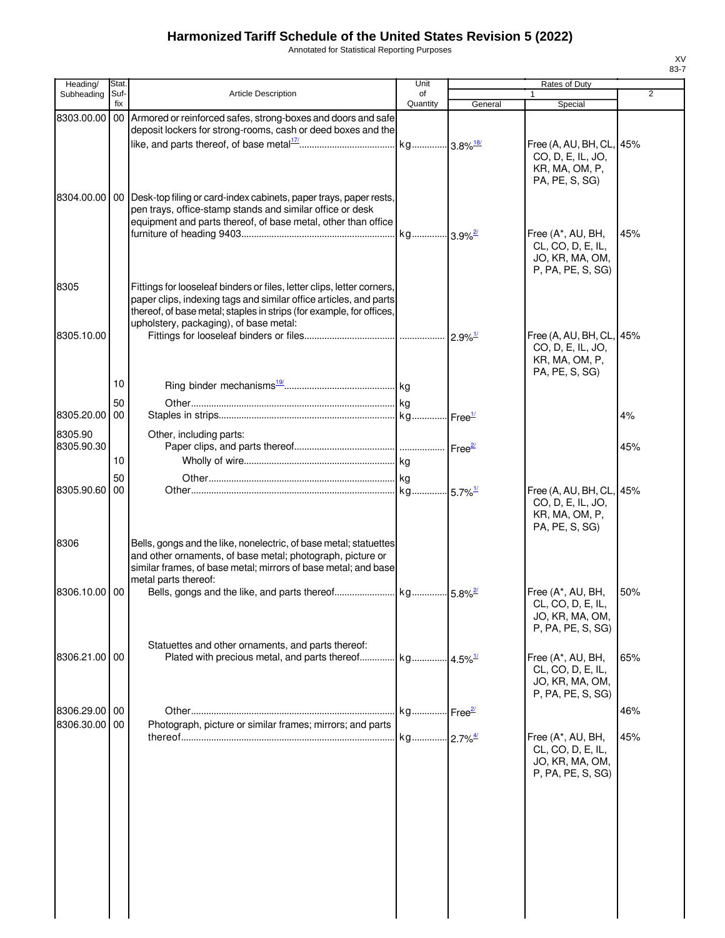Annotated for Statistical Reporting Purposes

| Heading/              | Stat.       |                                                                                                                                                                                                                                                               | Unit                  |         | Rates of Duty                                                                     |                |
|-----------------------|-------------|---------------------------------------------------------------------------------------------------------------------------------------------------------------------------------------------------------------------------------------------------------------|-----------------------|---------|-----------------------------------------------------------------------------------|----------------|
| Subheading            | Suf-<br>fix | Article Description                                                                                                                                                                                                                                           | of<br>Quantity        | General | 1<br>Special                                                                      | $\overline{2}$ |
| 8303.00.00            |             | 00 Armored or reinforced safes, strong-boxes and doors and safe<br>deposit lockers for strong-rooms, cash or deed boxes and the                                                                                                                               |                       |         | Free (A, AU, BH, CL, 45%<br>CO, D, E, IL, JO,<br>KR, MA, OM, P,<br>PA, PE, S, SG) |                |
| 8304.00.00            |             | 00 Desk-top filing or card-index cabinets, paper trays, paper rests,<br>pen trays, office-stamp stands and similar office or desk<br>equipment and parts thereof, of base metal, other than office                                                            |                       |         | Free (A*, AU, BH,<br>CL, CO, D, E, IL,<br>JO, KR, MA, OM,<br>P, PA, PE, S, SG)    | 45%            |
| 8305                  |             | Fittings for looseleaf binders or files, letter clips, letter corners,<br>paper clips, indexing tags and similar office articles, and parts<br>thereof, of base metal; staples in strips (for example, for offices,<br>upholstery, packaging), of base metal: |                       |         |                                                                                   |                |
| 8305.10.00            |             |                                                                                                                                                                                                                                                               |                       |         | Free (A, AU, BH, CL, 45%<br>CO, D, E, IL, JO,<br>KR, MA, OM, P,<br>PA, PE, S, SG) |                |
|                       | 10          |                                                                                                                                                                                                                                                               |                       |         |                                                                                   |                |
| 8305.20.00            | 50<br>00    |                                                                                                                                                                                                                                                               |                       |         |                                                                                   | 4%             |
|                       |             |                                                                                                                                                                                                                                                               |                       |         |                                                                                   |                |
| 8305.90<br>8305.90.30 |             | Other, including parts:                                                                                                                                                                                                                                       |                       |         |                                                                                   | 45%            |
|                       | 10          |                                                                                                                                                                                                                                                               |                       |         |                                                                                   |                |
|                       | 50          |                                                                                                                                                                                                                                                               |                       |         |                                                                                   |                |
| 8305.90.60            | 00          |                                                                                                                                                                                                                                                               |                       |         | Free (A, AU, BH, CL, 45%<br>CO, D, E, IL, JO,<br>KR, MA, OM, P,<br>PA, PE, S, SG) |                |
| 8306                  |             | Bells, gongs and the like, nonelectric, of base metal; statuettes<br>and other ornaments, of base metal; photograph, picture or<br>similar frames, of base metal; mirrors of base metal; and base<br>metal parts thereof:                                     |                       |         |                                                                                   |                |
| 8306.10.00            | 00          |                                                                                                                                                                                                                                                               |                       |         | Free (A*, AU, BH,<br>CL, CO, D, E, IL,<br>JO, KR, MA, OM,<br>P, PA, PE, S, SG)    | 50%            |
| 8306.21.00 00         |             | Statuettes and other ornaments, and parts thereof:<br>Plated with precious metal, and parts thereof                                                                                                                                                           | kg 4.5% <sup>1/</sup> |         | Free (A*, AU, BH,<br>CL, CO, D, E, IL,<br>JO, KR, MA, OM,<br>P, PA, PE, S, SG)    | 65%            |
| 8306.29.00 00         |             |                                                                                                                                                                                                                                                               | kg Free <sup>2/</sup> |         |                                                                                   | 46%            |
| 8306.30.00            | 00          | Photograph, picture or similar frames; mirrors; and parts                                                                                                                                                                                                     | kg 2.7% <sup>4/</sup> |         | Free (A*, AU, BH,                                                                 | 45%            |
|                       |             |                                                                                                                                                                                                                                                               |                       |         | CL, CO, D, E, IL,<br>JO, KR, MA, OM,<br>P, PA, PE, S, SG)                         |                |
|                       |             |                                                                                                                                                                                                                                                               |                       |         |                                                                                   |                |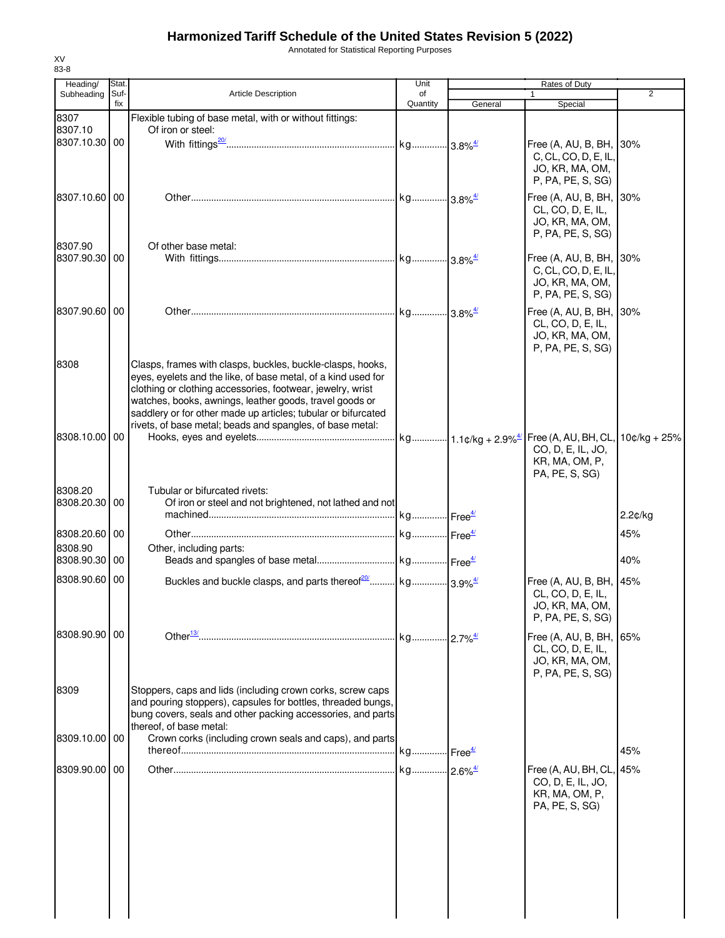Annotated for Statistical Reporting Purposes

| Heading/                 | Stat.       |                                                                                                                                                                                                                                                                                                                                                                                    | Unit           |         | Rates of Duty                                                                        |                |
|--------------------------|-------------|------------------------------------------------------------------------------------------------------------------------------------------------------------------------------------------------------------------------------------------------------------------------------------------------------------------------------------------------------------------------------------|----------------|---------|--------------------------------------------------------------------------------------|----------------|
| Subheading               | Suf-<br>fix | <b>Article Description</b>                                                                                                                                                                                                                                                                                                                                                         | of<br>Quantity | General | $\mathbf{1}$<br>Special                                                              | 2              |
| 8307                     |             | Flexible tubing of base metal, with or without fittings:                                                                                                                                                                                                                                                                                                                           |                |         |                                                                                      |                |
| 8307.10                  |             | Of iron or steel:                                                                                                                                                                                                                                                                                                                                                                  |                |         |                                                                                      |                |
| 8307.10.30 00            |             |                                                                                                                                                                                                                                                                                                                                                                                    |                |         | Free (A, AU, B, BH, 30%<br>C, CL, CO, D, E, IL,<br>JO, KR, MA, OM,                   |                |
|                          |             |                                                                                                                                                                                                                                                                                                                                                                                    |                |         | P, PA, PE, S, SG)                                                                    |                |
| 8307.10.60 00            |             |                                                                                                                                                                                                                                                                                                                                                                                    |                |         | Free (A, AU, B, BH, 30%<br>CL, CO, D, E, IL,<br>JO, KR, MA, OM,<br>P, PA, PE, S, SG) |                |
| 8307.90<br>8307.90.30 00 |             | Of other base metal:                                                                                                                                                                                                                                                                                                                                                               |                |         | Free (A, AU, B, BH, 30%                                                              |                |
|                          |             |                                                                                                                                                                                                                                                                                                                                                                                    |                |         | C, CL, CO, D, E, IL,<br>JO, KR, MA, OM,<br>P, PA, PE, S, SG)                         |                |
| 8307.90.60 00            |             |                                                                                                                                                                                                                                                                                                                                                                                    |                |         | Free (A, AU, B, BH, 30%<br>CL, CO, D, E, IL,<br>JO, KR, MA, OM,<br>P, PA, PE, S, SG) |                |
| 8308                     |             | Clasps, frames with clasps, buckles, buckle-clasps, hooks,<br>eyes, eyelets and the like, of base metal, of a kind used for<br>clothing or clothing accessories, footwear, jewelry, wrist<br>watches, books, awnings, leather goods, travel goods or<br>saddlery or for other made up articles; tubular or bifurcated<br>rivets, of base metal; beads and spangles, of base metal: |                |         |                                                                                      |                |
| 8308.10.00 00            |             |                                                                                                                                                                                                                                                                                                                                                                                    |                |         | CO, D, E, IL, JO,<br>KR, MA, OM, P,<br>PA, PE, S, SG)                                | $10¢/kg + 25%$ |
| 8308.20                  |             | Tubular or bifurcated rivets:                                                                                                                                                                                                                                                                                                                                                      |                |         |                                                                                      |                |
| 8308.20.30 00            |             | Of iron or steel and not brightened, not lathed and not                                                                                                                                                                                                                                                                                                                            |                |         |                                                                                      |                |
|                          |             |                                                                                                                                                                                                                                                                                                                                                                                    |                |         |                                                                                      | 2.2¢/kg        |
| 8308.20.60 00            |             |                                                                                                                                                                                                                                                                                                                                                                                    |                |         |                                                                                      | 45%            |
| 8308.90<br>8308.90.30 00 |             | Other, including parts:                                                                                                                                                                                                                                                                                                                                                            |                |         |                                                                                      | 40%            |
|                          |             |                                                                                                                                                                                                                                                                                                                                                                                    |                |         |                                                                                      |                |
| 8308.90.60 00            |             |                                                                                                                                                                                                                                                                                                                                                                                    |                |         | Free (A, AU, B, BH, 45%<br>CL, CO, D, E, IL,<br>JO, KR, MA, OM,<br>P, PA, PE, S, SG) |                |
| 8308.90.90 00            |             |                                                                                                                                                                                                                                                                                                                                                                                    |                |         | Free (A, AU, B, BH, 65%<br>CL, CO, D, E, IL,<br>JO, KR, MA, OM,<br>P, PA, PE, S, SG) |                |
| 8309                     |             | Stoppers, caps and lids (including crown corks, screw caps<br>and pouring stoppers), capsules for bottles, threaded bungs,<br>bung covers, seals and other packing accessories, and parts<br>thereof, of base metal:                                                                                                                                                               |                |         |                                                                                      |                |
| 8309.10.00 00            |             | Crown corks (including crown seals and caps), and parts                                                                                                                                                                                                                                                                                                                            |                |         |                                                                                      |                |
|                          |             |                                                                                                                                                                                                                                                                                                                                                                                    |                |         |                                                                                      | 45%            |
| 8309.90.00 00            |             |                                                                                                                                                                                                                                                                                                                                                                                    |                |         | Free (A, AU, BH, CL, 45%<br>CO, D, E, IL, JO,<br>KR, MA, OM, P,<br>PA, PE, S, SG)    |                |
|                          |             |                                                                                                                                                                                                                                                                                                                                                                                    |                |         |                                                                                      |                |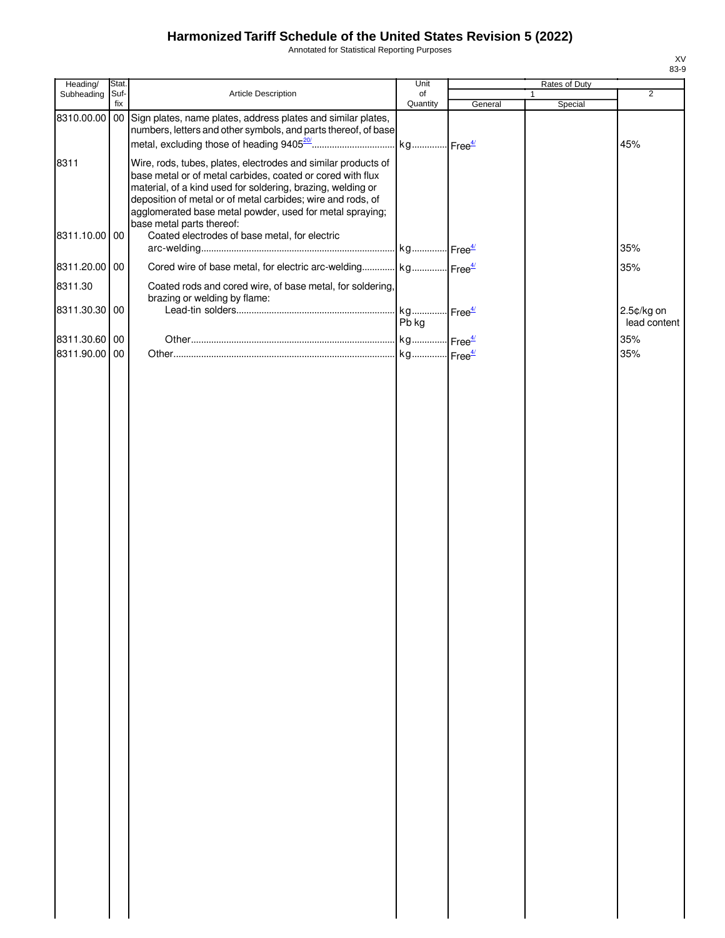Annotated for Statistical Reporting Purposes

| Heading/      | Stat.       |                                                                                                                                                                                                                                                                                                                                                    | Unit                  |         | Rates of Duty           |                |
|---------------|-------------|----------------------------------------------------------------------------------------------------------------------------------------------------------------------------------------------------------------------------------------------------------------------------------------------------------------------------------------------------|-----------------------|---------|-------------------------|----------------|
| Subheading    | Suf-<br>fix | Article Description                                                                                                                                                                                                                                                                                                                                | of<br>Quantity        | General | $\mathbf{1}$<br>Special | $\overline{2}$ |
| 8310.00.00    |             | 00 Sign plates, name plates, address plates and similar plates,<br>numbers, letters and other symbols, and parts thereof, of base                                                                                                                                                                                                                  | kg Free <sup>4/</sup> |         |                         | 45%            |
| 8311          |             | Wire, rods, tubes, plates, electrodes and similar products of<br>base metal or of metal carbides, coated or cored with flux<br>material, of a kind used for soldering, brazing, welding or<br>deposition of metal or of metal carbides; wire and rods, of<br>agglomerated base metal powder, used for metal spraying;<br>base metal parts thereof: |                       |         |                         |                |
| 8311.10.00 00 |             | Coated electrodes of base metal, for electric                                                                                                                                                                                                                                                                                                      |                       |         |                         | 35%            |
| 8311.20.00 00 |             | Cored wire of base metal, for electric arc-welding kg Free <sup>4/</sup>                                                                                                                                                                                                                                                                           |                       |         |                         | 35%            |
| 8311.30       |             | Coated rods and cored wire, of base metal, for soldering,<br>brazing or welding by flame:                                                                                                                                                                                                                                                          |                       |         |                         |                |
| 8311.30.30 00 |             |                                                                                                                                                                                                                                                                                                                                                    | kg Free <sup>4/</sup> |         |                         | 2.5¢/kg on     |
|               |             |                                                                                                                                                                                                                                                                                                                                                    | Pb kg                 |         |                         | lead content   |
| 8311.30.60 00 |             |                                                                                                                                                                                                                                                                                                                                                    |                       |         |                         | 35%            |
| 8311.90.00 00 |             |                                                                                                                                                                                                                                                                                                                                                    | kg Free <sup>4/</sup> |         |                         | 35%            |
|               |             |                                                                                                                                                                                                                                                                                                                                                    |                       |         |                         |                |
|               |             |                                                                                                                                                                                                                                                                                                                                                    |                       |         |                         |                |